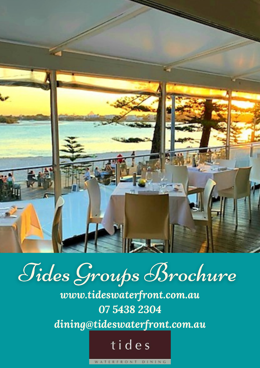

Fides Groups Brochure

*www.tideswaterfront.com.au 07 5438 2304 dining@tideswaterfront.com.au*

tides

WATERFRONT DINING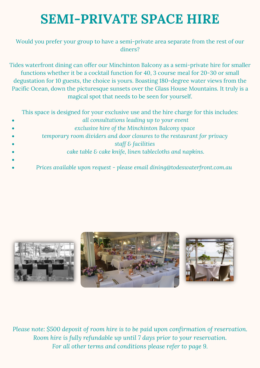## **SEMI-PRIVATE SPACE HIRE**

#### Would you prefer your group to have a semi-private area separate from the rest of our diners?

Tides waterfront dining can offer our Minchinton Balcony as a semi-private hire for smaller functions whether it be a cocktail function for 40, 3 course meal for 20-30 or small degustation for 10 guests, the choice is yours. Boasting 180-degree water views from the Pacific Ocean, down the picturesque sunsets over the Glass House Mountains. It truly is a magical spot that needs to be seen for yourself.

This space is designed for your exclusive use and the hire charge for this includes:

- *all consultations leading up to your event*
	- *exclusive hire of the Minchinton Balcony space*
- *temporary room dividers and door closures to the restaurant for privacy*

*staff & facilities*

- *cake table & cake knife, linen tablecloths and napkins.*
- *Prices available upon request - please email dining@todeswaterfront.com.au*



*Please note: \$500 deposit of room hire is to be paid upon confirmation of reservation. Room hire is fully refundable up until 7 days prior to your reservation. For all other terms and conditions please refer to page 9.*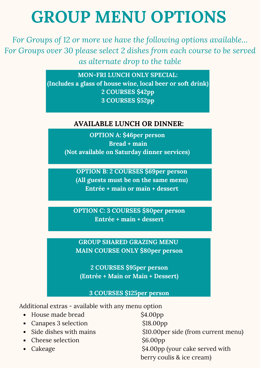# **GROUP MENU OPTIONS**

*For Groups of 12 or more we have the following options available… For Groups over 30 please select 2 dishes from each course to be served as alternate drop to the table*

> **MON-FRI LUNCH ONLY SPECIAL: (Includes a glass of house wine, local beer or soft drink) 2 COURSES \$42pp 3 COURSES \$52pp**

### **AVAILABLE LUNCH OR DINNER:**

**OPTION A: \$46per person Bread + main (Not available on Saturday dinner services)**

**OPTION B: 2 COURSES \$69per person (All guests must be on the same menu) Entrée + main or main + dessert**

**OPTION C: 3 COURSES \$80per person Entrée + main + dessert**

**GROUP SHARED GRAZING MENU MAIN COURSE ONLY \$80per person**

**2 COURSES \$95per person (Entrée + Main or Main + Dessert)**

**3 COURSES \$125per person**

Additional extras - available with any menu option

- House made bread \$4.00pp
- Canapes 3 selection \$18.00pp
- 
- Cheese selection \$6.00pp
- 

• Side dishes with mains  $$10.00 \text{ per side (from current menu)}$ • Cakeage  $\angle$  \$4.00pp (your cake served with berry coulis & ice cream)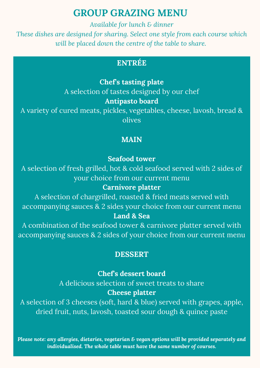## **GROUP GRAZING MENU**

*Available for lunch & dinner*

*These dishes are designed for sharing. Select one style from each course which will be placed down the centre of the table to share.*

## **ENTRÉE**

## **Chef's tasting plate**

A selection of tastes designed by our chef **Antipasto board**

A variety of cured meats, pickles, vegetables, cheese, lavosh, bread & olives

## **MAIN**

### **Seafood tower**

A selection of fresh grilled, hot & cold seafood served with 2 sides of your choice from our current menu

## **Carnivore platter**

A selection of chargrilled, roasted & fried meats served with accompanying sauces & 2 sides your choice from our current menu **Land & Sea**

A combination of the seafood tower & carnivore platter served with accompanying sauces & 2 sides of your choice from our current menu

## **DESSERT**

## **Chef's dessert board**

A delicious selection of sweet treats to share **Cheese platter**

A selection of 3 cheeses (soft, hard & blue) served with grapes, apple, dried fruit, nuts, lavosh, toasted sour dough & quince paste

*Please note: any allergies, dietaries, vegetarian & vegan options will be provided separately and individualised. The whole table must have the same number of courses.*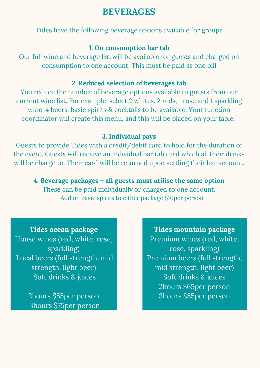## **BEVERAGES**

Tides have the following beverage options available for groups

### **1. On consumption bar tab**

Our full wine and beverage list will be available for guests and charged on consumption to one account. This must be paid as one bill

#### **2. Reduced selection of beverages tab**

You reduce the number of beverage options available to guests from our current wine list. For example, select 2 whites, 2 reds, 1 rose and 1 sparkling wine, 4 beers, basic spirits & cocktails to be available. Your function coordinator will create this menu, and this will be placed on your table.

#### **3. Individual pays**

Guests to provide Tides with a credit/debit card to hold for the duration of the event. Guests will receive an individual bar tab card which all their drinks will be charge to. Their card will be returned upon settling their bar account.

#### **4**. **Beverage packages – all guests must utilise the same option**

These can be paid individually or charged to one account. - Add on basic spirits to either package \$10per person

## **Tides ocean package**

House wines (red, white, rose, sparkling) Local beers (full strength, mid strength, light beer) Soft drinks & juices

> 2hours \$55per person 3hours \$75per person

**Tides mountain package** Premium wines (red, white, rose, sparkling) Premium beers (full strength, mid strength, light beer) Soft drinks & juices 2hours \$65per person 3hours \$85per person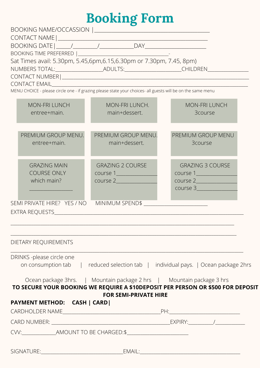## $B = -1$ ,  $\frac{1}{2}$   $\frac{1}{2}$   $\frac{1}{2}$   $\frac{1}{2}$   $\frac{1}{2}$

| <b>BOOKING FOTIN</b>                                                                                                                                                                                                           |                                       |                         |  |  |  |
|--------------------------------------------------------------------------------------------------------------------------------------------------------------------------------------------------------------------------------|---------------------------------------|-------------------------|--|--|--|
|                                                                                                                                                                                                                                |                                       |                         |  |  |  |
|                                                                                                                                                                                                                                |                                       |                         |  |  |  |
|                                                                                                                                                                                                                                |                                       |                         |  |  |  |
| BOOKING TIME PREFERRED  <br>Sat Times avail: 5.30pm, 5.45,6pm, 6.15, 6.30pm or 7.30pm, 7.45, 8pm)                                                                                                                              |                                       |                         |  |  |  |
|                                                                                                                                                                                                                                |                                       |                         |  |  |  |
| NUMBERS TOTAL:_________________________ADULTS:__________________________CHILDREN___________                                                                                                                                    |                                       |                         |  |  |  |
|                                                                                                                                                                                                                                |                                       |                         |  |  |  |
| MENU CHOICE - please circle one - if grazing please state your choices- all guests will be on the same menu                                                                                                                    |                                       |                         |  |  |  |
|                                                                                                                                                                                                                                |                                       |                         |  |  |  |
| <b>MON-FRI LUNCH</b>                                                                                                                                                                                                           | MON-FRI LUNCH.                        | <b>MON-FRI LUNCH</b>    |  |  |  |
| entree+main.                                                                                                                                                                                                                   | main+dessert.                         | <b>3course</b>          |  |  |  |
|                                                                                                                                                                                                                                |                                       |                         |  |  |  |
|                                                                                                                                                                                                                                |                                       |                         |  |  |  |
| PREMIUM GROUP MENU.                                                                                                                                                                                                            | PREMIUM GROUP MENU.                   | PREMIUM GROUP MENU      |  |  |  |
| entree+main.                                                                                                                                                                                                                   | main+dessert.                         | <b>3course</b>          |  |  |  |
|                                                                                                                                                                                                                                |                                       |                         |  |  |  |
| <b>GRAZING MAIN</b>                                                                                                                                                                                                            | <b>GRAZING 2 COURSE</b>               | <b>GRAZING 3 COURSE</b> |  |  |  |
| <b>COURSE ONLY</b>                                                                                                                                                                                                             |                                       | course 1_______________ |  |  |  |
| which main?                                                                                                                                                                                                                    | course 2 and the course of the course |                         |  |  |  |
|                                                                                                                                                                                                                                |                                       | course 3                |  |  |  |
|                                                                                                                                                                                                                                |                                       |                         |  |  |  |
| SEMI PRIVATE HIRE? YES / NO                                                                                                                                                                                                    |                                       |                         |  |  |  |
| EXTRA REQUESTS AND THE RESERVE TO A RESERVE THE RESERVE TO A RESERVE THE RESERVE TO A RESERVE THE RESERVE TO A RESERVE THE RESERVE THAT A RESERVE THAT A RESERVE THAT A RESERVE THAT A RESERVE THAT A RESERVE THAT A RESERVE T |                                       |                         |  |  |  |
|                                                                                                                                                                                                                                |                                       |                         |  |  |  |
|                                                                                                                                                                                                                                |                                       |                         |  |  |  |
| DIETARY REQUIREMENTS                                                                                                                                                                                                           |                                       |                         |  |  |  |
|                                                                                                                                                                                                                                |                                       |                         |  |  |  |

| DRINKS-please circle one    |                                                                                                                                                                                                                                |        |                                                                                                                |
|-----------------------------|--------------------------------------------------------------------------------------------------------------------------------------------------------------------------------------------------------------------------------|--------|----------------------------------------------------------------------------------------------------------------|
|                             | on consumption tab   reduced selection tab   individual pays.   Ocean package 2hrs                                                                                                                                             |        |                                                                                                                |
|                             | Ocean package 3hrs.   Mountain package 2 hrs.   Mountain package 3 hrs                                                                                                                                                         |        |                                                                                                                |
|                             | TO SECURE YOUR BOOKING WE REQUIRE A \$10DEPOSIT PER PERSON OR \$500 FOR DEPOSIT                                                                                                                                                |        |                                                                                                                |
|                             | <b>FOR SEMI-PRIVATE HIRE</b>                                                                                                                                                                                                   |        |                                                                                                                |
| PAYMENT METHOD: CASH   CARD |                                                                                                                                                                                                                                |        |                                                                                                                |
|                             | CARDHOLDER NAME                                                                                                                                                                                                                |        | PH: __________________________                                                                                 |
|                             | CARD NUMBER: The contract of the contract of the contract of the contract of the contract of the contract of the contract of the contract of the contract of the contract of the contract of the contract of the contract of t |        | EXPIRY: The Manufacturer of the Manufacturer of the Manufacturer of the Manufacturer of the Manufacturer of th |
|                             | CVV: AMOUNT TO BE CHARGED:\$                                                                                                                                                                                                   |        |                                                                                                                |
|                             |                                                                                                                                                                                                                                | EMAIL: |                                                                                                                |